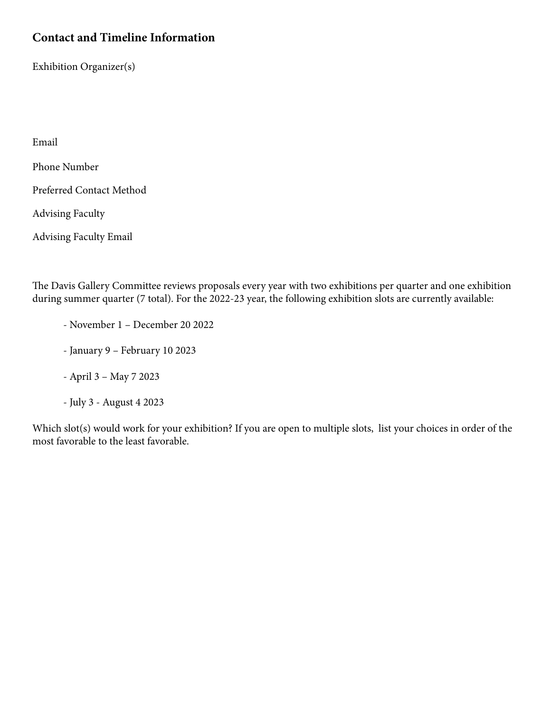## **Contact and Timeline Information**

Exhibition Organizer(s)

Email

Phone Number

Preferred Contact Method

Advising Faculty

Advising Faculty Email

The Davis Gallery Committee reviews proposals every year with two exhibitions per quarter and one exhibition during summer quarter (7 total). For the 2022-23 year, the following exhibition slots are currently available:

- November 1 December 20 2022
- January 9 February 10 2023
- April 3 May 7 2023
- July 3 August 4 2023

Which slot(s) would work for your exhibition? If you are open to multiple slots, list your choices in order of the most favorable to the least favorable.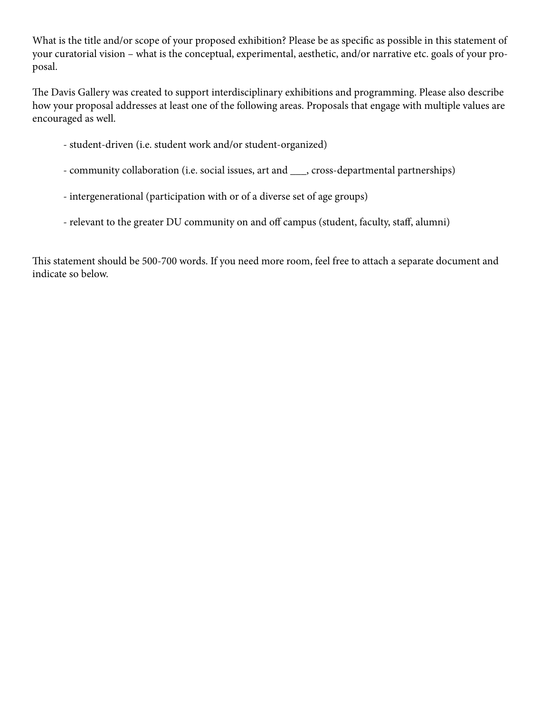What is the title and/or scope of your proposed exhibition? Please be as specific as possible in this statement of your curatorial vision – what is the conceptual, experimental, aesthetic, and/or narrative etc. goals of your proposal.

The Davis Gallery was created to support interdisciplinary exhibitions and programming. Please also describe how your proposal addresses at least one of the following areas. Proposals that engage with multiple values are encouraged as well.

- student-driven (i.e. student work and/or student-organized)
- community collaboration (i.e. social issues, art and \_\_\_, cross-departmental partnerships)
- intergenerational (participation with or of a diverse set of age groups)
- relevant to the greater DU community on and off campus (student, faculty, staff, alumni)

This statement should be 500-700 words. If you need more room, feel free to attach a separate document and indicate so below.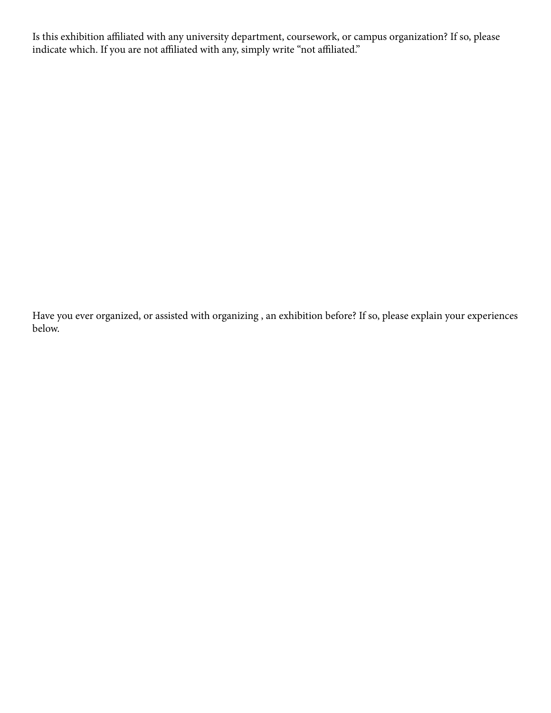Is this exhibition affiliated with any university department, coursework, or campus organization? If so, please indicate which. If you are not affiliated with any, simply write "not affiliated."

Have you ever organized, or assisted with organizing , an exhibition before? If so, please explain your experiences below.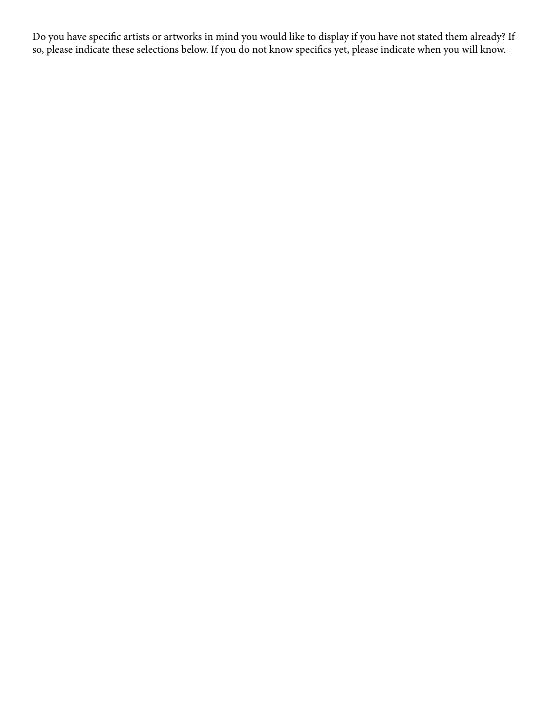Do you have specific artists or artworks in mind you would like to display if you have not stated them already? If so, please indicate these selections below. If you do not know specifics yet, please indicate when you will know.